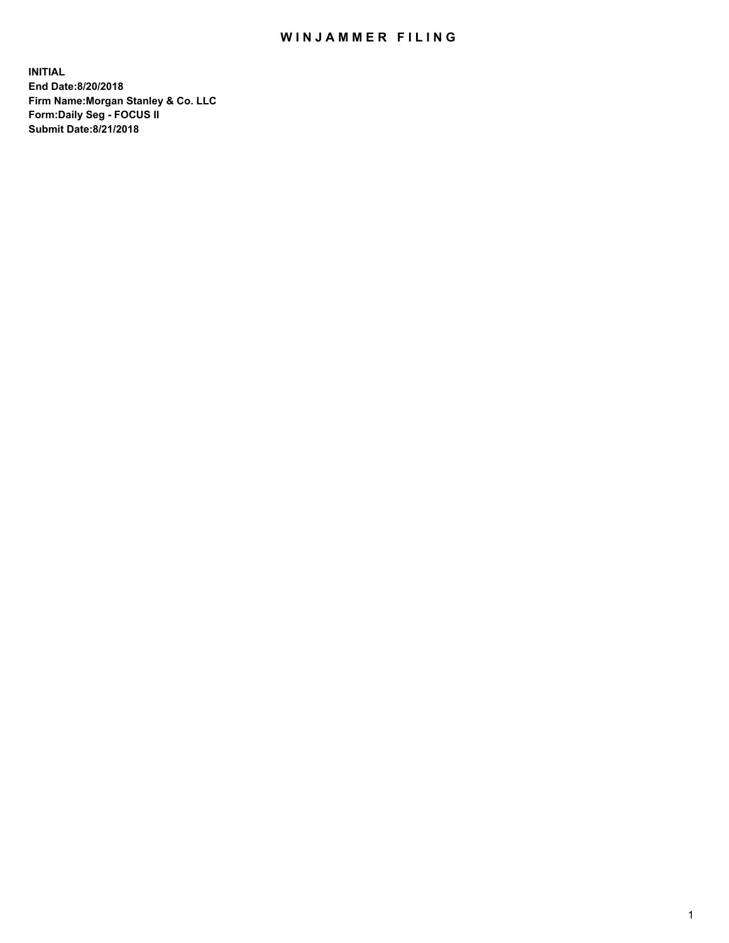## WIN JAMMER FILING

**INITIAL End Date:8/20/2018 Firm Name:Morgan Stanley & Co. LLC Form:Daily Seg - FOCUS II Submit Date:8/21/2018**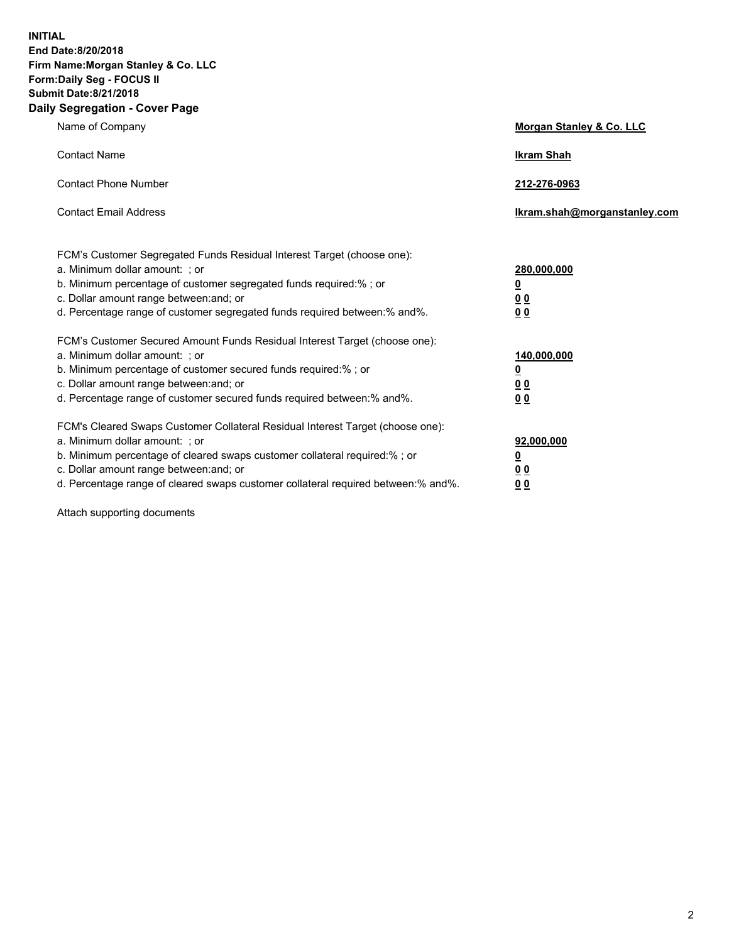**INITIAL End Date:8/20/2018 Firm Name:Morgan Stanley & Co. LLC Form:Daily Seg - FOCUS II Submit Date:8/21/2018 Daily Segregation - Cover Page**

| Name of Company                                                                                                                                                                                                                                                                                                                | Morgan Stanley & Co. LLC                               |
|--------------------------------------------------------------------------------------------------------------------------------------------------------------------------------------------------------------------------------------------------------------------------------------------------------------------------------|--------------------------------------------------------|
| <b>Contact Name</b>                                                                                                                                                                                                                                                                                                            | <b>Ikram Shah</b>                                      |
| <b>Contact Phone Number</b>                                                                                                                                                                                                                                                                                                    | 212-276-0963                                           |
| <b>Contact Email Address</b>                                                                                                                                                                                                                                                                                                   | lkram.shah@morganstanley.com                           |
| FCM's Customer Segregated Funds Residual Interest Target (choose one):<br>a. Minimum dollar amount: ; or<br>b. Minimum percentage of customer segregated funds required:% ; or<br>c. Dollar amount range between: and; or<br>d. Percentage range of customer segregated funds required between:% and%.                         | 280,000,000<br><u>0</u><br><u>0 0</u><br>0 Q           |
| FCM's Customer Secured Amount Funds Residual Interest Target (choose one):<br>a. Minimum dollar amount: ; or<br>b. Minimum percentage of customer secured funds required:%; or<br>c. Dollar amount range between: and; or<br>d. Percentage range of customer secured funds required between:% and%.                            | 140,000,000<br><u>0</u><br><u>00</u><br>0 <sub>0</sub> |
| FCM's Cleared Swaps Customer Collateral Residual Interest Target (choose one):<br>a. Minimum dollar amount: ; or<br>b. Minimum percentage of cleared swaps customer collateral required:% ; or<br>c. Dollar amount range between: and; or<br>d. Percentage range of cleared swaps customer collateral required between:% and%. | 92,000,000<br><u>0</u><br><u>00</u><br>0 <sup>0</sup>  |

Attach supporting documents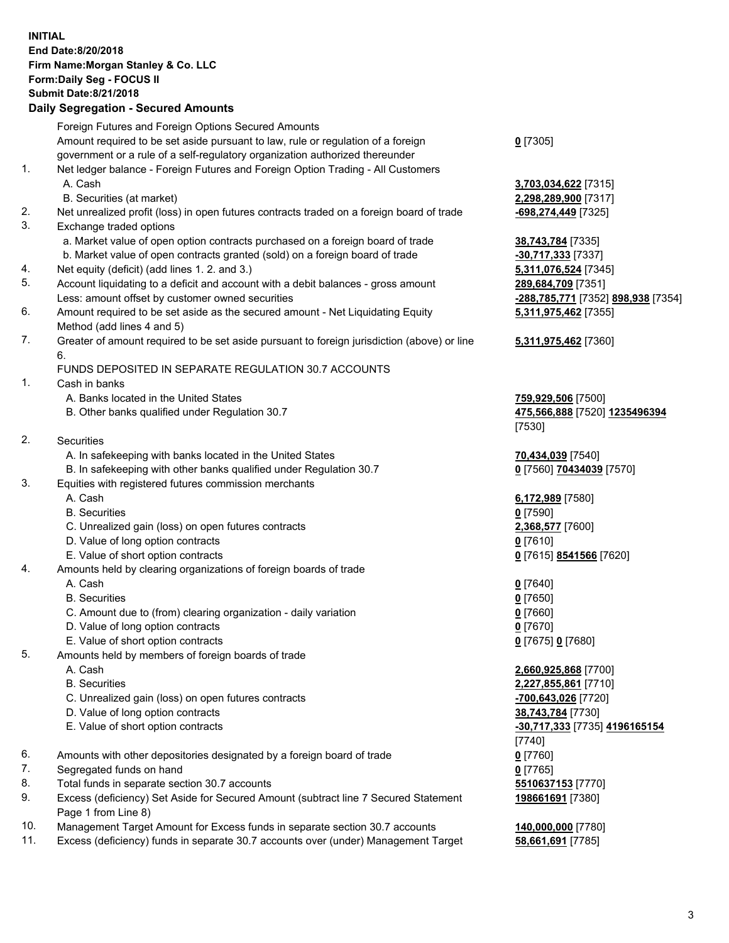## **INITIAL End Date:8/20/2018 Firm Name:Morgan Stanley & Co. LLC Form:Daily Seg - FOCUS II Submit Date:8/21/2018**

## **Daily Segregation - Secured Amounts**

|     | Foreign Futures and Foreign Options Secured Amounts                                                        |                                                  |
|-----|------------------------------------------------------------------------------------------------------------|--------------------------------------------------|
|     | Amount required to be set aside pursuant to law, rule or regulation of a foreign                           | $0$ [7305]                                       |
|     | government or a rule of a self-regulatory organization authorized thereunder                               |                                                  |
| 1.  | Net ledger balance - Foreign Futures and Foreign Option Trading - All Customers                            |                                                  |
|     | A. Cash                                                                                                    | 3,703,034,622 [7315]                             |
|     | B. Securities (at market)                                                                                  | 2,298,289,900 [7317]                             |
| 2.  | Net unrealized profit (loss) in open futures contracts traded on a foreign board of trade                  | -698,274,449 [7325]                              |
| 3.  | Exchange traded options                                                                                    |                                                  |
|     | a. Market value of open option contracts purchased on a foreign board of trade                             | 38,743,784 [7335]                                |
|     | b. Market value of open contracts granted (sold) on a foreign board of trade                               | -30,717,333 [7337]                               |
| 4.  | Net equity (deficit) (add lines 1.2. and 3.)                                                               | 5,311,076,524 [7345]                             |
| 5.  | Account liquidating to a deficit and account with a debit balances - gross amount                          | 289,684,709 [7351]                               |
|     | Less: amount offset by customer owned securities                                                           | <u>-288,785,771</u> [7352] <u>898,938</u> [7354] |
| 6.  | Amount required to be set aside as the secured amount - Net Liquidating Equity                             | 5,311,975,462 [7355]                             |
|     | Method (add lines 4 and 5)                                                                                 |                                                  |
| 7.  | Greater of amount required to be set aside pursuant to foreign jurisdiction (above) or line<br>6.          | 5,311,975,462 [7360]                             |
|     | FUNDS DEPOSITED IN SEPARATE REGULATION 30.7 ACCOUNTS                                                       |                                                  |
| 1.  | Cash in banks                                                                                              |                                                  |
|     | A. Banks located in the United States                                                                      | 759,929,506 [7500]                               |
|     | B. Other banks qualified under Regulation 30.7                                                             | 475,566,888 [7520] 1235496394                    |
|     |                                                                                                            | [7530]                                           |
| 2.  | <b>Securities</b>                                                                                          |                                                  |
|     | A. In safekeeping with banks located in the United States                                                  | 70,434,039 [7540]                                |
|     | B. In safekeeping with other banks qualified under Regulation 30.7                                         | 0 [7560] 70434039 [7570]                         |
| 3.  | Equities with registered futures commission merchants                                                      |                                                  |
|     | A. Cash                                                                                                    | 6,172,989 [7580]                                 |
|     | <b>B.</b> Securities                                                                                       | $0$ [7590]                                       |
|     | C. Unrealized gain (loss) on open futures contracts                                                        | 2,368,577 [7600]                                 |
|     | D. Value of long option contracts                                                                          | $0$ [7610]                                       |
|     | E. Value of short option contracts                                                                         | 0 [7615] 8541566 [7620]                          |
| 4.  | Amounts held by clearing organizations of foreign boards of trade                                          |                                                  |
|     | A. Cash                                                                                                    | $0$ [7640]                                       |
|     | <b>B.</b> Securities                                                                                       | $0$ [7650]                                       |
|     | C. Amount due to (from) clearing organization - daily variation                                            | $0$ [7660]                                       |
|     | D. Value of long option contracts                                                                          | $0$ [7670]                                       |
|     | E. Value of short option contracts                                                                         | 0 [7675] 0 [7680]                                |
| 5.  | Amounts held by members of foreign boards of trade                                                         |                                                  |
|     | A. Cash                                                                                                    | 2,660,925,868 [7700]                             |
|     | <b>B.</b> Securities                                                                                       | 2,227,855,861 [7710]                             |
|     | C. Unrealized gain (loss) on open futures contracts                                                        | -700,643,026 [7720]                              |
|     | D. Value of long option contracts                                                                          | 38,743,784 [7730]                                |
|     | E. Value of short option contracts                                                                         | -30,717,333 [7735] 4196165154                    |
|     |                                                                                                            | $[7740]$                                         |
| 6.  | Amounts with other depositories designated by a foreign board of trade                                     | $0$ [7760]                                       |
| 7.  | Segregated funds on hand                                                                                   | $0$ [7765]                                       |
| 8.  | Total funds in separate section 30.7 accounts                                                              | 5510637153 [7770]                                |
| 9.  | Excess (deficiency) Set Aside for Secured Amount (subtract line 7 Secured Statement<br>Page 1 from Line 8) | 198661691 [7380]                                 |
| 10. | Management Target Amount for Excess funds in separate section 30.7 accounts                                | 140,000,000 [7780]                               |

11. Excess (deficiency) funds in separate 30.7 accounts over (under) Management Target **58,661,691** [7785]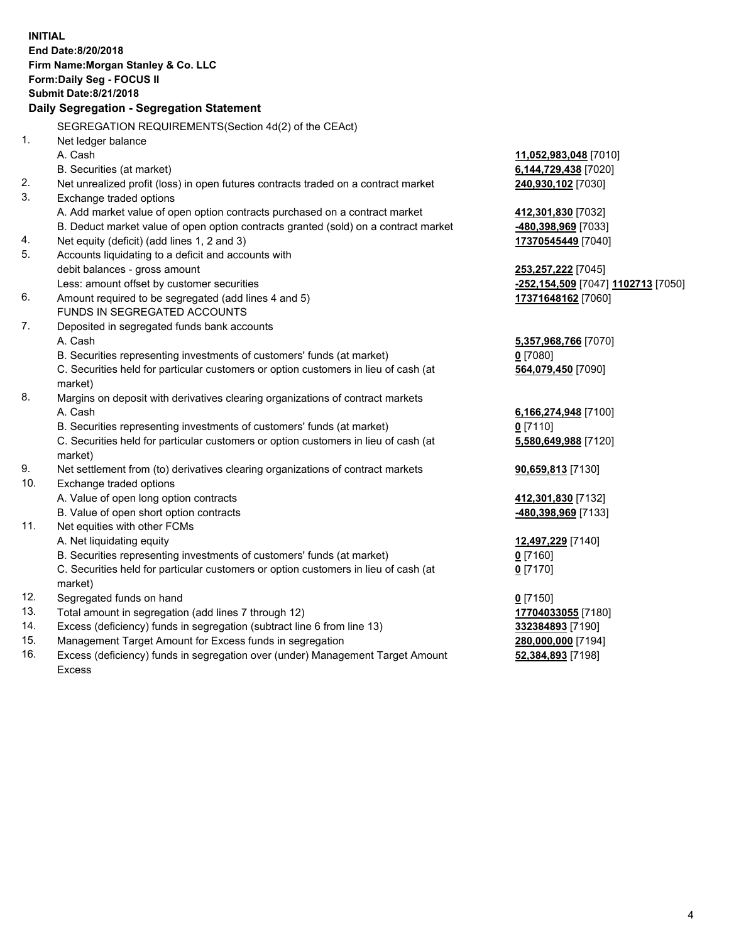**INITIAL End Date:8/20/2018 Firm Name:Morgan Stanley & Co. LLC Form:Daily Seg - FOCUS II Submit Date:8/21/2018 Daily Segregation - Segregation Statement** SEGREGATION REQUIREMENTS(Section 4d(2) of the CEAct) 1. Net ledger balance A. Cash **11,052,983,048** [7010] B. Securities (at market) **6,144,729,438** [7020] 2. Net unrealized profit (loss) in open futures contracts traded on a contract market **240,930,102** [7030] 3. Exchange traded options A. Add market value of open option contracts purchased on a contract market **412,301,830** [7032] B. Deduct market value of open option contracts granted (sold) on a contract market **-480,398,969** [7033] 4. Net equity (deficit) (add lines 1, 2 and 3) **17370545449** [7040] 5. Accounts liquidating to a deficit and accounts with debit balances - gross amount **253,257,222** [7045] Less: amount offset by customer securities **-252,154,509** [7047] **1102713** [7050] 6. Amount required to be segregated (add lines 4 and 5) **17371648162** [7060] FUNDS IN SEGREGATED ACCOUNTS 7. Deposited in segregated funds bank accounts A. Cash **5,357,968,766** [7070] B. Securities representing investments of customers' funds (at market) **0** [7080] C. Securities held for particular customers or option customers in lieu of cash (at market) **564,079,450** [7090] 8. Margins on deposit with derivatives clearing organizations of contract markets A. Cash **6,166,274,948** [7100] B. Securities representing investments of customers' funds (at market) **0** [7110] C. Securities held for particular customers or option customers in lieu of cash (at market) **5,580,649,988** [7120] 9. Net settlement from (to) derivatives clearing organizations of contract markets **90,659,813** [7130] 10. Exchange traded options A. Value of open long option contracts **412,301,830** [7132] B. Value of open short option contracts **-480,398,969** [7133] 11. Net equities with other FCMs A. Net liquidating equity **12,497,229** [7140] B. Securities representing investments of customers' funds (at market) **0** [7160] C. Securities held for particular customers or option customers in lieu of cash (at market) **0** [7170] 12. Segregated funds on hand **0** [7150] 13. Total amount in segregation (add lines 7 through 12) **17704033055** [7180] 14. Excess (deficiency) funds in segregation (subtract line 6 from line 13) **332384893** [7190] 15. Management Target Amount for Excess funds in segregation **280,000,000** [7194] **52,384,893** [7198]

16. Excess (deficiency) funds in segregation over (under) Management Target Amount Excess